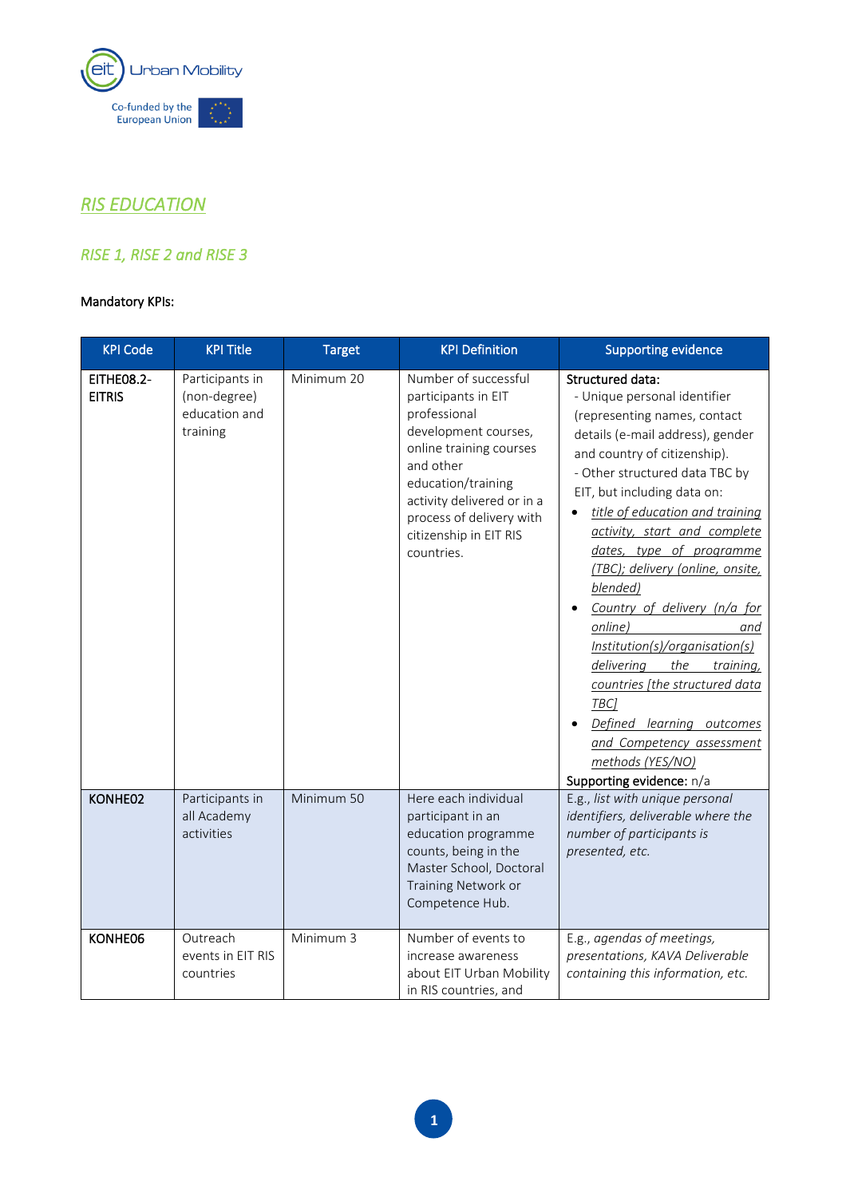

## *RIS EDUCATION*

## *RISE 1, RISE 2 and RISE 3*

## Mandatory KPIs:

| <b>KPI Code</b>                    | <b>KPI Title</b>                                             | <b>Target</b> | <b>KPI Definition</b>                                                                                                                                                                                                                               | <b>Supporting evidence</b>                                                                                                                                                                                                                                                                                                                                                                                                                                                                                                                                                                                                                            |
|------------------------------------|--------------------------------------------------------------|---------------|-----------------------------------------------------------------------------------------------------------------------------------------------------------------------------------------------------------------------------------------------------|-------------------------------------------------------------------------------------------------------------------------------------------------------------------------------------------------------------------------------------------------------------------------------------------------------------------------------------------------------------------------------------------------------------------------------------------------------------------------------------------------------------------------------------------------------------------------------------------------------------------------------------------------------|
| <b>EITHE08.2-</b><br><b>EITRIS</b> | Participants in<br>(non-degree)<br>education and<br>training | Minimum 20    | Number of successful<br>participants in EIT<br>professional<br>development courses,<br>online training courses<br>and other<br>education/training<br>activity delivered or in a<br>process of delivery with<br>citizenship in EIT RIS<br>countries. | <b>Structured data:</b><br>- Unique personal identifier<br>(representing names, contact<br>details (e-mail address), gender<br>and country of citizenship).<br>- Other structured data TBC by<br>EIT, but including data on:<br>title of education and training<br>activity, start and complete<br>dates, type of programme<br>(TBC); delivery (online, onsite,<br>blended)<br>Country of delivery (n/a for<br>online)<br>and<br>Institution(s)/organisation(s)<br>delivering<br>the<br>training,<br>countries [the structured data<br>TBC]<br>Defined learning outcomes<br>and Competency assessment<br>methods (YES/NO)<br>Supporting evidence: n/a |
| KONHE02                            | Participants in<br>all Academy<br>activities                 | Minimum 50    | Here each individual<br>participant in an<br>education programme<br>counts, being in the<br>Master School, Doctoral<br>Training Network or<br>Competence Hub.                                                                                       | E.g., list with unique personal<br>identifiers, deliverable where the<br>number of participants is<br>presented, etc.                                                                                                                                                                                                                                                                                                                                                                                                                                                                                                                                 |
| KONHE06                            | Outreach<br>events in EIT RIS<br>countries                   | Minimum 3     | Number of events to<br>increase awareness<br>about EIT Urban Mobility<br>in RIS countries, and                                                                                                                                                      | E.g., agendas of meetings,<br>presentations, KAVA Deliverable<br>containing this information, etc.                                                                                                                                                                                                                                                                                                                                                                                                                                                                                                                                                    |

**1**